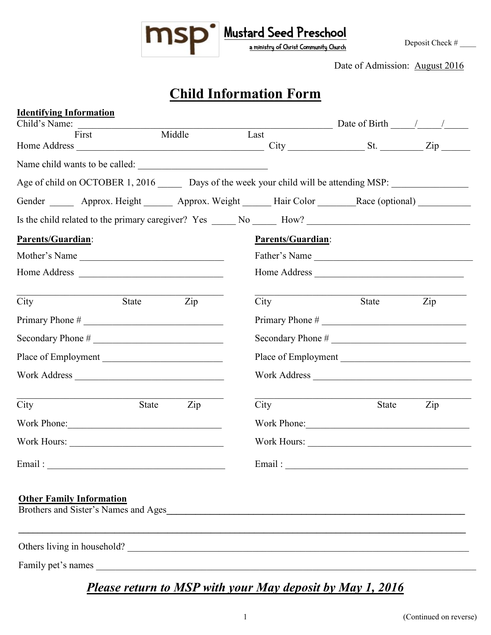

Date of Admission: August 2016

# **Child Information Form**

| <b>Identifying Information</b>  |       |                |                                                                                                      |                                    |     |  |  |
|---------------------------------|-------|----------------|------------------------------------------------------------------------------------------------------|------------------------------------|-----|--|--|
| Child's Name:<br>First          |       | Middle         | Last                                                                                                 | Date of Birth $\frac{\sqrt{2}}{2}$ |     |  |  |
|                                 |       |                |                                                                                                      | $City$ $St.$ $Zip$                 |     |  |  |
|                                 |       |                |                                                                                                      |                                    |     |  |  |
|                                 |       |                | Age of child on OCTOBER 1, 2016 ______ Days of the week your child will be attending MSP:            |                                    |     |  |  |
|                                 |       |                | Gender ______ Approx. Height ______ Approx. Weight ______ Hair Color ______ Race (optional) _______  |                                    |     |  |  |
|                                 |       |                | Is the child related to the primary caregiver? Yes _____ No _____ How? _____________________________ |                                    |     |  |  |
| Parents/Guardian:               |       |                | <b>Parents/Guardian:</b>                                                                             |                                    |     |  |  |
| Mother's Name                   |       |                |                                                                                                      | Father's Name                      |     |  |  |
|                                 |       |                |                                                                                                      |                                    |     |  |  |
| City                            | State | $\mathsf{Zip}$ | City                                                                                                 | State                              | Zip |  |  |
| Primary Phone #                 |       |                |                                                                                                      |                                    |     |  |  |
| Secondary Phone #               |       |                |                                                                                                      | Secondary Phone #                  |     |  |  |
| Place of Employment             |       |                |                                                                                                      | Place of Employment                |     |  |  |
| Work Address                    |       |                |                                                                                                      | Work Address                       |     |  |  |
| City                            | State | Zip            | City                                                                                                 | <b>State</b>                       | Zip |  |  |
|                                 |       |                |                                                                                                      | Work Phone:                        |     |  |  |
| Work Hours:                     |       |                |                                                                                                      |                                    |     |  |  |
| Email:                          |       |                | Email:                                                                                               |                                    |     |  |  |
| <b>Other Family Information</b> |       |                |                                                                                                      |                                    |     |  |  |
|                                 |       |                | Others living in household?                                                                          |                                    |     |  |  |
|                                 |       |                |                                                                                                      |                                    |     |  |  |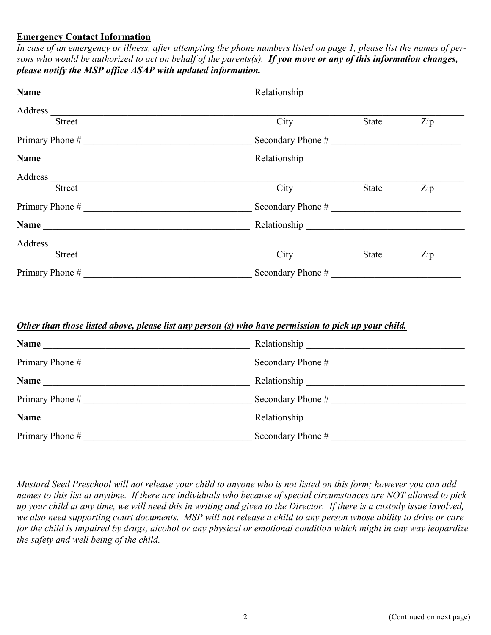#### **Emergency Contact Information**

*In case of an emergency or illness, after attempting the phone numbers listed on page 1, please list the names of persons who would be authorized to act on behalf of the parents(s). If you move or any of this information changes, please notify the MSP office ASAP with updated information.* 

| Name<br><u> 1989 - John Stein, Amerikaansk politiker (* 1958)</u>                                                                                                                                                              |                      |       |     |
|--------------------------------------------------------------------------------------------------------------------------------------------------------------------------------------------------------------------------------|----------------------|-------|-----|
| Address                                                                                                                                                                                                                        |                      |       |     |
| <b>Street</b>                                                                                                                                                                                                                  | City                 | State | Zip |
|                                                                                                                                                                                                                                | Secondary Phone #    |       |     |
| Name                                                                                                                                                                                                                           |                      |       |     |
|                                                                                                                                                                                                                                |                      |       |     |
| <b>Street</b>                                                                                                                                                                                                                  | City<br>Zip<br>State |       |     |
|                                                                                                                                                                                                                                | Secondary Phone #    |       |     |
|                                                                                                                                                                                                                                |                      |       |     |
| Address and the contract of the contract of the contract of the contract of the contract of the contract of the contract of the contract of the contract of the contract of the contract of the contract of the contract of th |                      |       |     |
| <b>Street</b>                                                                                                                                                                                                                  | City                 | State | Zip |
| Primary Phone #                                                                                                                                                                                                                | Secondary Phone #    |       |     |

#### *Other than those listed above, please list any person (s) who have permission to pick up your child.*

| Name              | Relationship                 |
|-------------------|------------------------------|
| Primary Phone $#$ | Secondary Phone $#$          |
| <b>Name</b>       |                              |
| Primary Phone #   | Secondary Phone #            |
| Name              | Relationship <b>No. 1998</b> |
| Primary Phone #   | Secondary Phone #            |

*Mustard Seed Preschool will not release your child to anyone who is not listed on this form; however you can add names to this list at anytime. If there are individuals who because of special circumstances are NOT allowed to pick up your child at any time, we will need this in writing and given to the Director. If there is a custody issue involved, we also need supporting court documents. MSP will not release a child to any person whose ability to drive or care for the child is impaired by drugs, alcohol or any physical or emotional condition which might in any way jeopardize the safety and well being of the child.*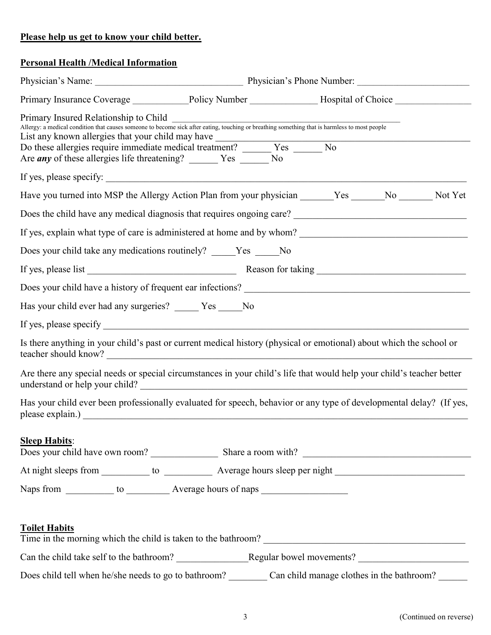## **Please help us get to know your child better.**

### **Personal Health /Medical Information**

| Primary Insurance Coverage ______________Policy Number _______________Hospital of Choice ___________                                                                                                                                                                  |  |  |  |
|-----------------------------------------------------------------------------------------------------------------------------------------------------------------------------------------------------------------------------------------------------------------------|--|--|--|
| Primary Insured Relationship to Child<br>Allergy: a medical condition that causes someone to become sick after eating, touching or breathing something that is harmless to most people<br>Are <i>any</i> of these allergies life threatening? ________ Yes _______ No |  |  |  |
|                                                                                                                                                                                                                                                                       |  |  |  |
| Have you turned into MSP the Allergy Action Plan from your physician _______Yes ______No _______Not Yet                                                                                                                                                               |  |  |  |
| Does the child have any medical diagnosis that requires ongoing care?<br><u>Letting and the child have any medical diagnosis</u> that requires ongoing care?<br><u>Letting and</u> the child have any medical diagnosis that requires ongoin                          |  |  |  |
|                                                                                                                                                                                                                                                                       |  |  |  |
| Does your child take any medications routinely? _____Yes _____No                                                                                                                                                                                                      |  |  |  |
| If yes, please list Reason for taking Reason for taking                                                                                                                                                                                                               |  |  |  |
|                                                                                                                                                                                                                                                                       |  |  |  |
| Has your child ever had any surgeries? _____ Yes _____ No                                                                                                                                                                                                             |  |  |  |
|                                                                                                                                                                                                                                                                       |  |  |  |
| Is there anything in your child's past or current medical history (physical or emotional) about which the school or                                                                                                                                                   |  |  |  |
| Are there any special needs or special circumstances in your child's life that would help your child's teacher better                                                                                                                                                 |  |  |  |
| Has your child ever been professionally evaluated for speech, behavior or any type of developmental delay? (If yes,                                                                                                                                                   |  |  |  |
| <b>Sleep Habits:</b>                                                                                                                                                                                                                                                  |  |  |  |
| <b>Toilet Habits</b><br>Time in the morning which the child is taken to the bathroom?                                                                                                                                                                                 |  |  |  |
|                                                                                                                                                                                                                                                                       |  |  |  |
| Does child tell when he/she needs to go to bathroom? Can child manage clothes in the bathroom?                                                                                                                                                                        |  |  |  |